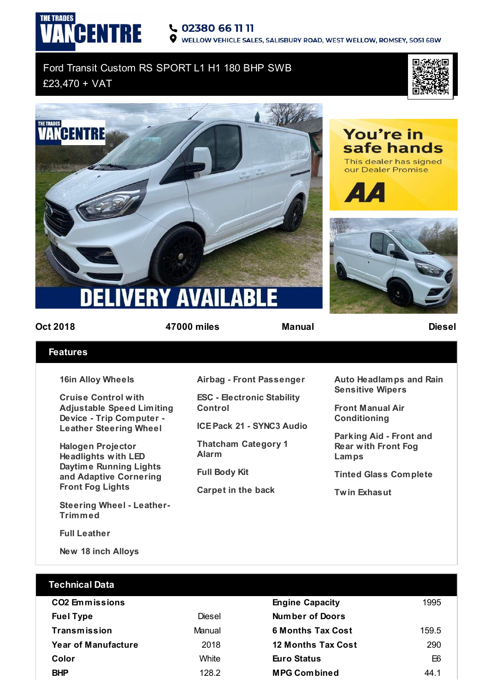## CENTRE 02380 66 11 11

WELLOW VEHICLE SALES, SALISBURY ROAD, WEST WELLOW, ROMSEY, SO51 6BW

## Ford Transit Custom RS SPORT L1 H1 180 BHP SWB £23,470 + VAT







You're in

safe hands

**THE TRADES** 

**Oct 2018 47000 miles Manual Diesel**

## **Features**

**16in Alloy Wheels**

**Cruise Control with Adjustable Speed Limiting Device - Trip Computer - Leather Steering Wheel**

**Halogen Projector Headlights with LED Daytime Running Lights and Adaptive Cornering Front Fog Lights**

**Steering Wheel - Leather-Trimmed**

**Full Leather**

**New 18 inch Alloys**

**Airbag - Front Passenger**

**ESC - Electronic Stability Control**

**ICE Pack 21 - SYNC3 Audio**

**Thatcham Category 1 Alarm**

**Full Body Kit**

**Carpet in the back**

**Auto Headlamps and Rain Sensitive Wipers**

**Front Manual Air Conditioning**

**Parking Aid - Front and Rear with Front Fog Lamps**

**Tinted Glass Complete**

**Twin Exhasut**

| Technical Data             |        |                           |       |
|----------------------------|--------|---------------------------|-------|
| <b>CO2 Emmissions</b>      |        | <b>Engine Capacity</b>    | 1995  |
| <b>Fuel Type</b>           | Diesel | Number of Doors           |       |
| Transmission               | Manual | <b>6 Months Tax Cost</b>  | 159.5 |
| <b>Year of Manufacture</b> | 2018   | <b>12 Months Tax Cost</b> | 290   |
| Color                      | White  | <b>Euro Status</b>        | E6    |
| <b>BHP</b>                 | 128.2  | <b>MPG Combined</b>       | 44 1  |